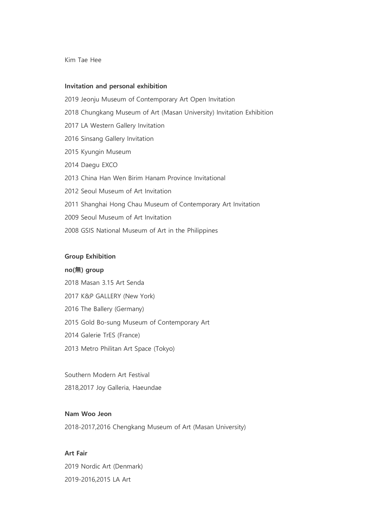Kim Tae Hee

#### **Invitation and personal exhibition**

2019 Jeonju Museum of Contemporary Art Open Invitation 2018 Chungkang Museum of Art (Masan University) Invitation Exhibition 2017 LA Western Gallery Invitation 2016 Sinsang Gallery Invitation 2015 Kyungin Museum 2014 Daegu EXCO 2013 China Han Wen Birim Hanam Province Invitational 2012 Seoul Museum of Art Invitation 2011 Shanghai Hong Chau Museum of Contemporary Art Invitation 2009 Seoul Museum of Art Invitation 2008 GSIS National Museum of Art in the Philippines

### **Group Exhibition**

#### **no(無) group**

- 2018 Masan 3.15 Art Senda
- 2017 K&P GALLERY (New York)
- 2016 The Ballery (Germany)
- 2015 Gold Bo-sung Museum of Contemporary Art
- 2014 Galerie TrES (France)
- 2013 Metro Philitan Art Space (Tokyo)

Southern Modern Art Festival

2818,2017 Joy Galleria, Haeundae

### **Nam Woo Jeon**

2018-2017,2016 Chengkang Museum of Art (Masan University)

# **Art Fair**

2019 Nordic Art (Denmark) 2019-2016,2015 LA Art